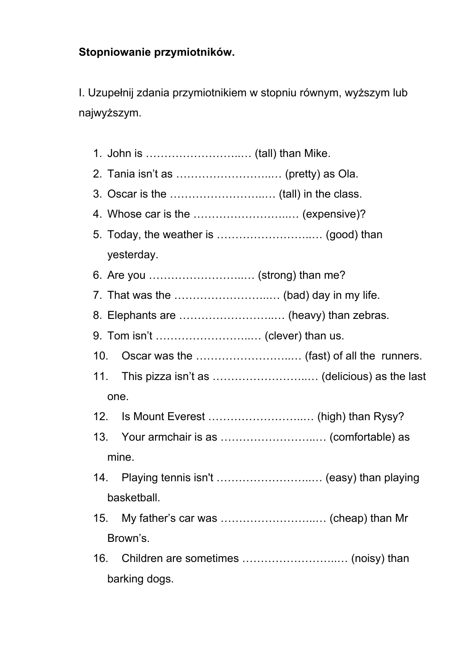## **Stopniowanie przymiotników.**

I. Uzupełnij zdania przymiotnikiem w stopniu równym, wyższym lub najwyższym.

|                               | 4. Whose car is the  (expensive)? |                                                  |
|-------------------------------|-----------------------------------|--------------------------------------------------|
|                               |                                   |                                                  |
|                               | yesterday.                        |                                                  |
| 6. Are you  (strong) than me? |                                   |                                                  |
|                               |                                   |                                                  |
|                               |                                   |                                                  |
|                               |                                   |                                                  |
| 10.                           |                                   |                                                  |
|                               |                                   | 11. This pizza isn't as  (delicious) as the last |
| one.                          |                                   |                                                  |
| 12.                           |                                   |                                                  |
|                               |                                   |                                                  |
| mine.                         |                                   |                                                  |
|                               |                                   | 14. Playing tennis isn't  (easy) than playing    |
| basketball.                   |                                   |                                                  |
|                               |                                   | 15. My father's car was  (cheap) than Mr         |
| Brown's.                      |                                   |                                                  |
|                               |                                   |                                                  |
| barking dogs.                 |                                   |                                                  |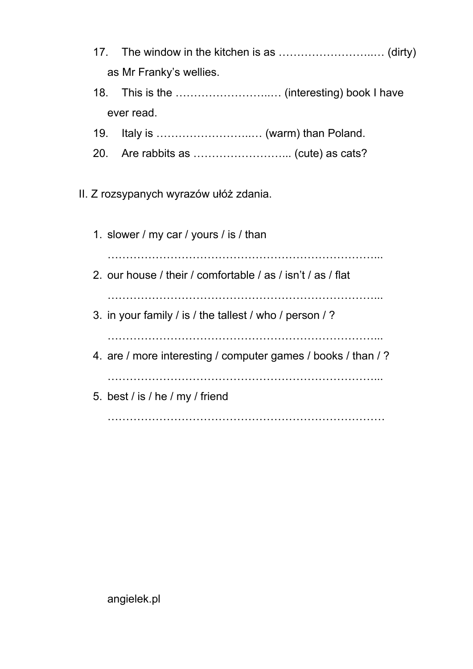- 17. The window in the kitchen is as ……………………..… (dirty) as Mr Franky's wellies.
- 18. This is the ……………………..… (interesting) book I have ever read.
- 19. Italy is ……………………..… (warm) than Poland.
- 20. Are rabbits as ……………………... (cute) as cats?

## II. Z rozsypanych wyrazów ułóż zdania.

1. slower / my car / yours / is / than ………………………………………………………………... 2. our house / their / comfortable / as / isn't / as / flat ………………………………………………………………... 3. in your family / is / the tallest / who / person / ? ………………………………………………………………... 4. are / more interesting / computer games / books / than / ? ………………………………………………………………... 5. best / is / he / my / friend …………………………………………………………………